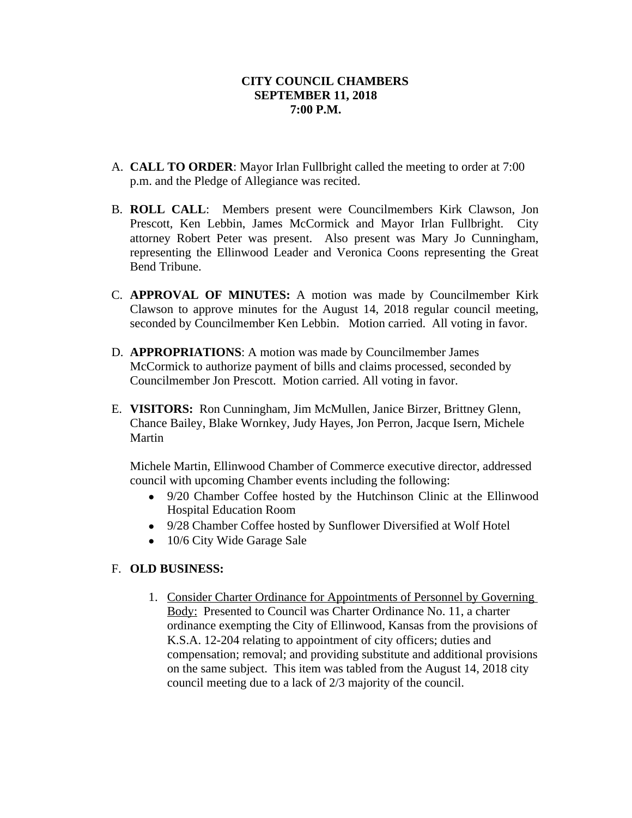- A. **CALL TO ORDER**: Mayor Irlan Fullbright called the meeting to order at 7:00 p.m. and the Pledge of Allegiance was recited.
- B. **ROLL CALL**: Members present were Councilmembers Kirk Clawson, Jon Prescott, Ken Lebbin, James McCormick and Mayor Irlan Fullbright. City attorney Robert Peter was present. Also present was Mary Jo Cunningham, representing the Ellinwood Leader and Veronica Coons representing the Great Bend Tribune.
- C. **APPROVAL OF MINUTES:** A motion was made by Councilmember Kirk Clawson to approve minutes for the August 14, 2018 regular council meeting, seconded by Councilmember Ken Lebbin. Motion carried. All voting in favor.
- D. **APPROPRIATIONS**: A motion was made by Councilmember James McCormick to authorize payment of bills and claims processed, seconded by Councilmember Jon Prescott. Motion carried. All voting in favor.
- E. **VISITORS:** Ron Cunningham, Jim McMullen, Janice Birzer, Brittney Glenn, Chance Bailey, Blake Wornkey, Judy Hayes, Jon Perron, Jacque Isern, Michele Martin

Michele Martin, Ellinwood Chamber of Commerce executive director, addressed council with upcoming Chamber events including the following:

- 9/20 Chamber Coffee hosted by the Hutchinson Clinic at the Ellinwood Hospital Education Room
- 9/28 Chamber Coffee hosted by Sunflower Diversified at Wolf Hotel
- 10/6 City Wide Garage Sale

# F. **OLD BUSINESS:**

1. Consider Charter Ordinance for Appointments of Personnel by Governing Body: Presented to Council was Charter Ordinance No. 11, a charter ordinance exempting the City of Ellinwood, Kansas from the provisions of K.S.A. 12-204 relating to appointment of city officers; duties and compensation; removal; and providing substitute and additional provisions on the same subject. This item was tabled from the August 14, 2018 city council meeting due to a lack of 2/3 majority of the council.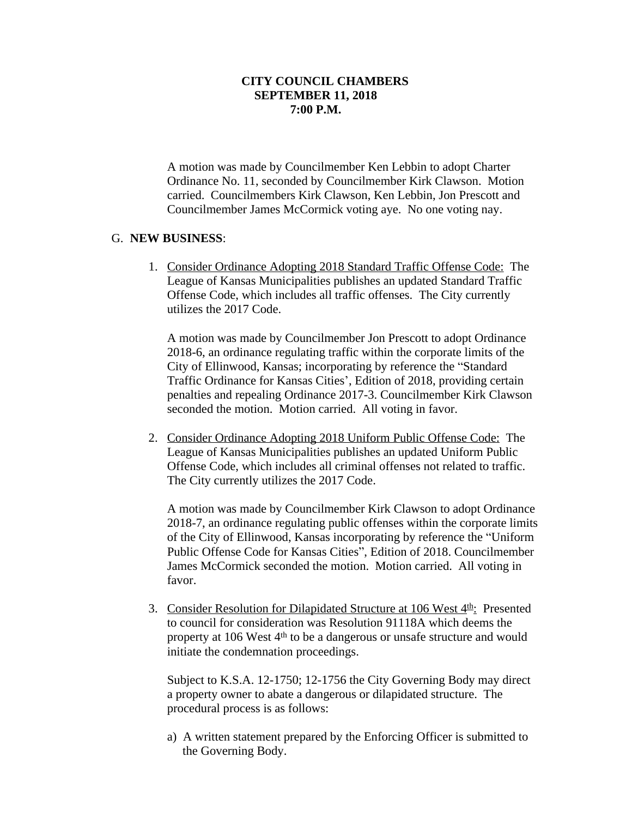A motion was made by Councilmember Ken Lebbin to adopt Charter Ordinance No. 11, seconded by Councilmember Kirk Clawson. Motion carried. Councilmembers Kirk Clawson, Ken Lebbin, Jon Prescott and Councilmember James McCormick voting aye. No one voting nay.

# G. **NEW BUSINESS**:

1. Consider Ordinance Adopting 2018 Standard Traffic Offense Code: The League of Kansas Municipalities publishes an updated Standard Traffic Offense Code, which includes all traffic offenses. The City currently utilizes the 2017 Code.

A motion was made by Councilmember Jon Prescott to adopt Ordinance 2018-6, an ordinance regulating traffic within the corporate limits of the City of Ellinwood, Kansas; incorporating by reference the "Standard Traffic Ordinance for Kansas Cities', Edition of 2018, providing certain penalties and repealing Ordinance 2017-3. Councilmember Kirk Clawson seconded the motion. Motion carried. All voting in favor.

2. Consider Ordinance Adopting 2018 Uniform Public Offense Code: The League of Kansas Municipalities publishes an updated Uniform Public Offense Code, which includes all criminal offenses not related to traffic. The City currently utilizes the 2017 Code.

A motion was made by Councilmember Kirk Clawson to adopt Ordinance 2018-7, an ordinance regulating public offenses within the corporate limits of the City of Ellinwood, Kansas incorporating by reference the "Uniform Public Offense Code for Kansas Cities", Edition of 2018. Councilmember James McCormick seconded the motion. Motion carried. All voting in favor.

3. Consider Resolution for Dilapidated Structure at 106 West 4<sup>th</sup>: Presented to council for consideration was Resolution 91118A which deems the property at 106 West  $4<sup>th</sup>$  to be a dangerous or unsafe structure and would initiate the condemnation proceedings.

Subject to K.S.A. 12-1750; 12-1756 the City Governing Body may direct a property owner to abate a dangerous or dilapidated structure. The procedural process is as follows:

a) A written statement prepared by the Enforcing Officer is submitted to the Governing Body.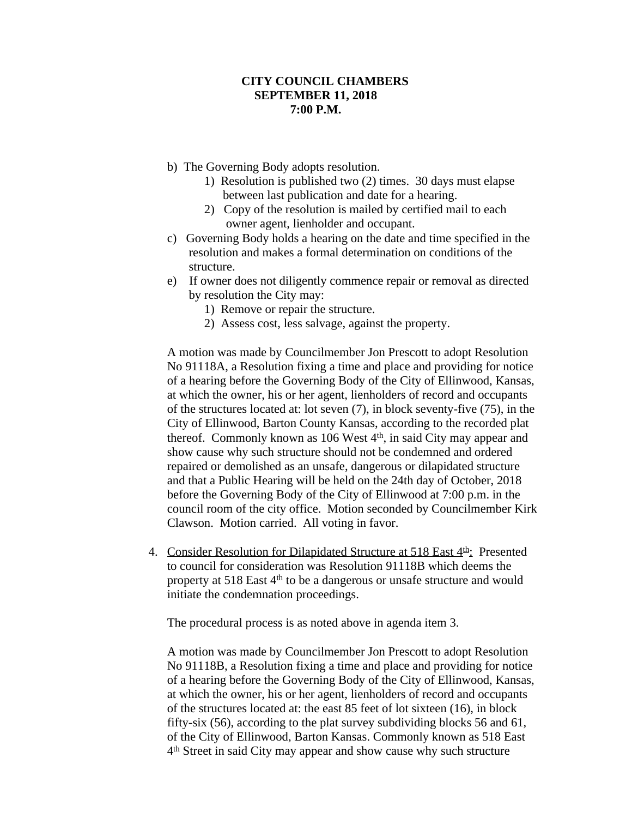- b) The Governing Body adopts resolution.
	- 1) Resolution is published two (2) times. 30 days must elapse between last publication and date for a hearing.
	- 2) Copy of the resolution is mailed by certified mail to each owner agent, lienholder and occupant.
- c) Governing Body holds a hearing on the date and time specified in the resolution and makes a formal determination on conditions of the structure.
- e) If owner does not diligently commence repair or removal as directed by resolution the City may:
	- 1) Remove or repair the structure.
	- 2) Assess cost, less salvage, against the property.

A motion was made by Councilmember Jon Prescott to adopt Resolution No 91118A, a Resolution fixing a time and place and providing for notice of a hearing before the Governing Body of the City of Ellinwood, Kansas, at which the owner, his or her agent, lienholders of record and occupants of the structures located at: lot seven (7), in block seventy-five (75), in the City of Ellinwood, Barton County Kansas, according to the recorded plat thereof. Commonly known as 106 West  $4<sup>th</sup>$ , in said City may appear and show cause why such structure should not be condemned and ordered repaired or demolished as an unsafe, dangerous or dilapidated structure and that a Public Hearing will be held on the 24th day of October, 2018 before the Governing Body of the City of Ellinwood at 7:00 p.m. in the council room of the city office. Motion seconded by Councilmember Kirk Clawson. Motion carried. All voting in favor.

4. Consider Resolution for Dilapidated Structure at 518 East 4<sup>th</sup>: Presented to council for consideration was Resolution 91118B which deems the property at 518 East 4th to be a dangerous or unsafe structure and would initiate the condemnation proceedings.

The procedural process is as noted above in agenda item 3.

A motion was made by Councilmember Jon Prescott to adopt Resolution No 91118B, a Resolution fixing a time and place and providing for notice of a hearing before the Governing Body of the City of Ellinwood, Kansas, at which the owner, his or her agent, lienholders of record and occupants of the structures located at: the east 85 feet of lot sixteen (16), in block fifty-six (56), according to the plat survey subdividing blocks 56 and 61, of the City of Ellinwood, Barton Kansas. Commonly known as 518 East 4 th Street in said City may appear and show cause why such structure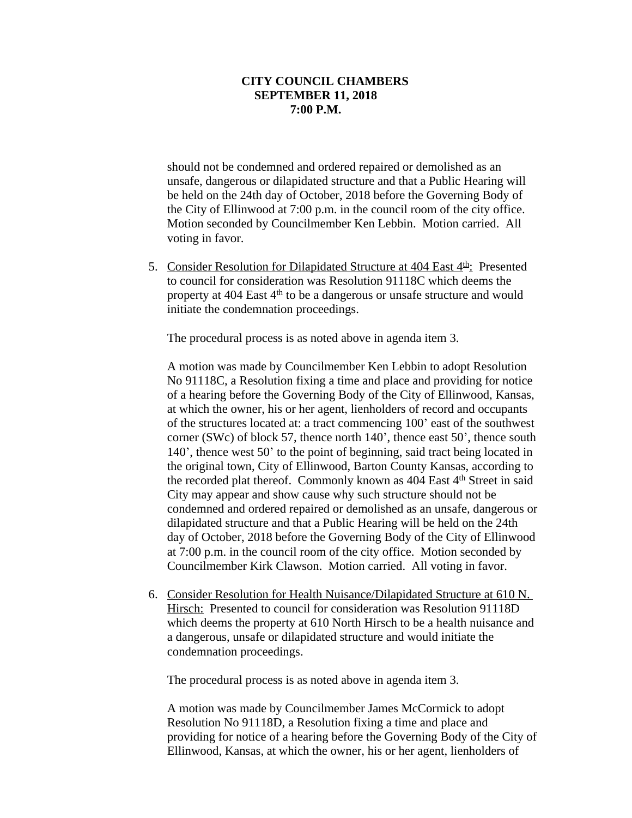should not be condemned and ordered repaired or demolished as an unsafe, dangerous or dilapidated structure and that a Public Hearing will be held on the 24th day of October, 2018 before the Governing Body of the City of Ellinwood at 7:00 p.m. in the council room of the city office. Motion seconded by Councilmember Ken Lebbin. Motion carried. All voting in favor.

5. Consider Resolution for Dilapidated Structure at  $404$  East  $4<sup>th</sup>$ . Presented to council for consideration was Resolution 91118C which deems the property at 404 East 4th to be a dangerous or unsafe structure and would initiate the condemnation proceedings.

The procedural process is as noted above in agenda item 3.

A motion was made by Councilmember Ken Lebbin to adopt Resolution No 91118C, a Resolution fixing a time and place and providing for notice of a hearing before the Governing Body of the City of Ellinwood, Kansas, at which the owner, his or her agent, lienholders of record and occupants of the structures located at: a tract commencing 100' east of the southwest corner (SWc) of block 57, thence north 140', thence east 50', thence south 140', thence west 50' to the point of beginning, said tract being located in the original town, City of Ellinwood, Barton County Kansas, according to the recorded plat thereof. Commonly known as  $404$  East  $4<sup>th</sup>$  Street in said City may appear and show cause why such structure should not be condemned and ordered repaired or demolished as an unsafe, dangerous or dilapidated structure and that a Public Hearing will be held on the 24th day of October, 2018 before the Governing Body of the City of Ellinwood at 7:00 p.m. in the council room of the city office. Motion seconded by Councilmember Kirk Clawson. Motion carried. All voting in favor.

6. Consider Resolution for Health Nuisance/Dilapidated Structure at 610 N. Hirsch: Presented to council for consideration was Resolution 91118D which deems the property at 610 North Hirsch to be a health nuisance and a dangerous, unsafe or dilapidated structure and would initiate the condemnation proceedings.

The procedural process is as noted above in agenda item 3.

A motion was made by Councilmember James McCormick to adopt Resolution No 91118D, a Resolution fixing a time and place and providing for notice of a hearing before the Governing Body of the City of Ellinwood, Kansas, at which the owner, his or her agent, lienholders of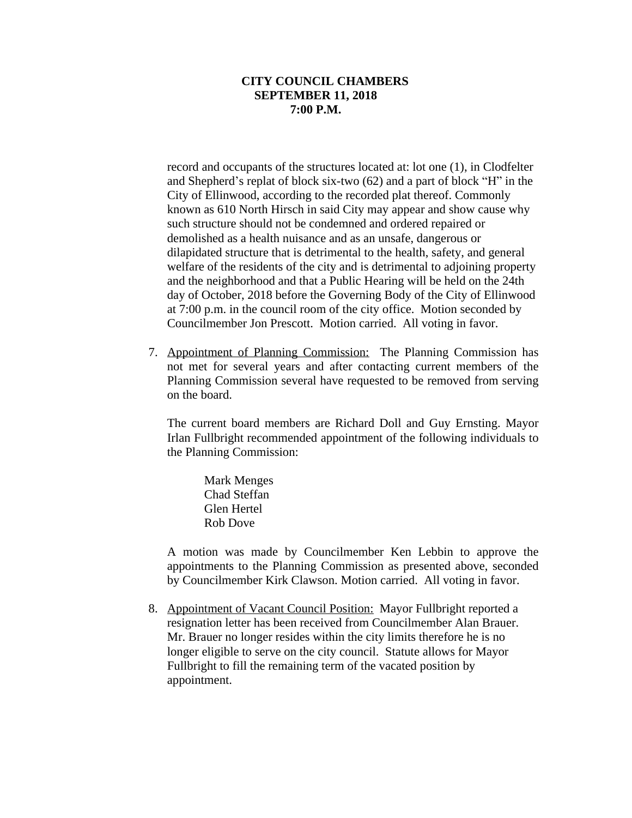record and occupants of the structures located at: lot one (1), in Clodfelter and Shepherd's replat of block six-two (62) and a part of block "H" in the City of Ellinwood, according to the recorded plat thereof. Commonly known as 610 North Hirsch in said City may appear and show cause why such structure should not be condemned and ordered repaired or demolished as a health nuisance and as an unsafe, dangerous or dilapidated structure that is detrimental to the health, safety, and general welfare of the residents of the city and is detrimental to adjoining property and the neighborhood and that a Public Hearing will be held on the 24th day of October, 2018 before the Governing Body of the City of Ellinwood at 7:00 p.m. in the council room of the city office. Motion seconded by Councilmember Jon Prescott. Motion carried. All voting in favor.

7. Appointment of Planning Commission: The Planning Commission has not met for several years and after contacting current members of the Planning Commission several have requested to be removed from serving on the board.

The current board members are Richard Doll and Guy Ernsting. Mayor Irlan Fullbright recommended appointment of the following individuals to the Planning Commission:

Mark Menges Chad Steffan Glen Hertel Rob Dove

A motion was made by Councilmember Ken Lebbin to approve the appointments to the Planning Commission as presented above, seconded by Councilmember Kirk Clawson. Motion carried. All voting in favor.

8. Appointment of Vacant Council Position: Mayor Fullbright reported a resignation letter has been received from Councilmember Alan Brauer. Mr. Brauer no longer resides within the city limits therefore he is no longer eligible to serve on the city council. Statute allows for Mayor Fullbright to fill the remaining term of the vacated position by appointment.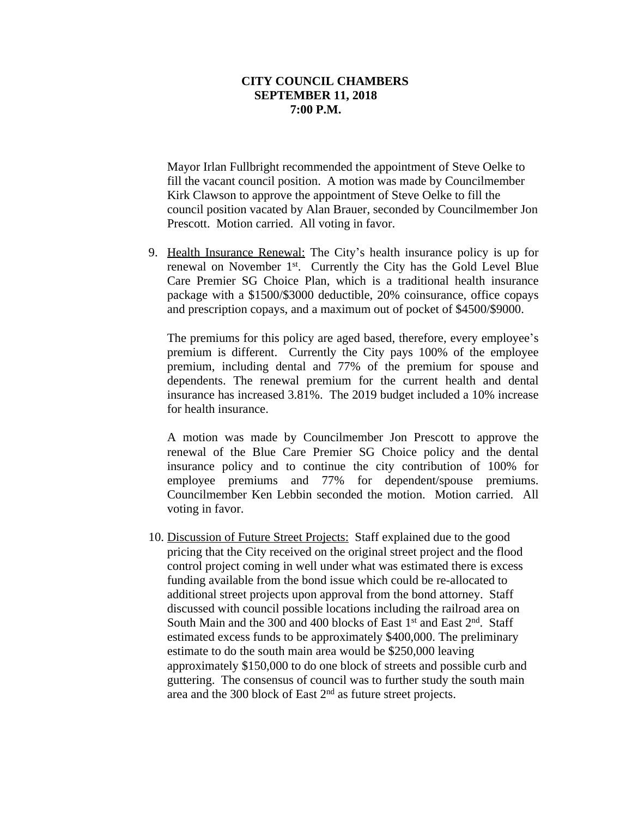Mayor Irlan Fullbright recommended the appointment of Steve Oelke to fill the vacant council position. A motion was made by Councilmember Kirk Clawson to approve the appointment of Steve Oelke to fill the council position vacated by Alan Brauer, seconded by Councilmember Jon Prescott. Motion carried. All voting in favor.

9. Health Insurance Renewal: The City's health insurance policy is up for renewal on November 1<sup>st</sup>. Currently the City has the Gold Level Blue Care Premier SG Choice Plan, which is a traditional health insurance package with a \$1500/\$3000 deductible, 20% coinsurance, office copays and prescription copays, and a maximum out of pocket of \$4500/\$9000.

The premiums for this policy are aged based, therefore, every employee's premium is different. Currently the City pays 100% of the employee premium, including dental and 77% of the premium for spouse and dependents. The renewal premium for the current health and dental insurance has increased 3.81%. The 2019 budget included a 10% increase for health insurance.

A motion was made by Councilmember Jon Prescott to approve the renewal of the Blue Care Premier SG Choice policy and the dental insurance policy and to continue the city contribution of 100% for employee premiums and 77% for dependent/spouse premiums. Councilmember Ken Lebbin seconded the motion. Motion carried. All voting in favor.

10. Discussion of Future Street Projects: Staff explained due to the good pricing that the City received on the original street project and the flood control project coming in well under what was estimated there is excess funding available from the bond issue which could be re-allocated to additional street projects upon approval from the bond attorney. Staff discussed with council possible locations including the railroad area on South Main and the 300 and 400 blocks of East 1<sup>st</sup> and East 2<sup>nd</sup>. Staff estimated excess funds to be approximately \$400,000. The preliminary estimate to do the south main area would be \$250,000 leaving approximately \$150,000 to do one block of streets and possible curb and guttering. The consensus of council was to further study the south main area and the 300 block of East 2nd as future street projects.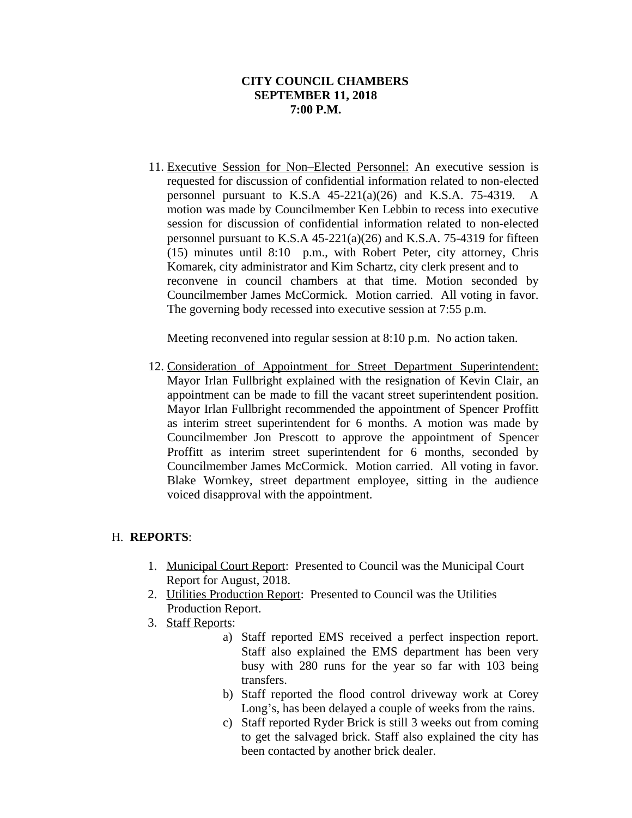11. Executive Session for Non–Elected Personnel: An executive session is requested for discussion of confidential information related to non-elected personnel pursuant to K.S.A  $45-221(a)(26)$  and K.S.A. 75-4319. A motion was made by Councilmember Ken Lebbin to recess into executive session for discussion of confidential information related to non-elected personnel pursuant to K.S.A 45-221(a)(26) and K.S.A. 75-4319 for fifteen (15) minutes until 8:10 p.m., with Robert Peter, city attorney, Chris Komarek, city administrator and Kim Schartz, city clerk present and to reconvene in council chambers at that time. Motion seconded by Councilmember James McCormick. Motion carried. All voting in favor. The governing body recessed into executive session at 7:55 p.m.

Meeting reconvened into regular session at 8:10 p.m. No action taken.

12. Consideration of Appointment for Street Department Superintendent: Mayor Irlan Fullbright explained with the resignation of Kevin Clair, an appointment can be made to fill the vacant street superintendent position. Mayor Irlan Fullbright recommended the appointment of Spencer Proffitt as interim street superintendent for 6 months. A motion was made by Councilmember Jon Prescott to approve the appointment of Spencer Proffitt as interim street superintendent for 6 months, seconded by Councilmember James McCormick. Motion carried. All voting in favor. Blake Wornkey, street department employee, sitting in the audience voiced disapproval with the appointment.

# H. **REPORTS**:

- 1. Municipal Court Report: Presented to Council was the Municipal Court Report for August, 2018.
- 2. Utilities Production Report: Presented to Council was the Utilities Production Report.
- 3. Staff Reports:
	- a) Staff reported EMS received a perfect inspection report. Staff also explained the EMS department has been very busy with 280 runs for the year so far with 103 being transfers.
	- b) Staff reported the flood control driveway work at Corey Long's, has been delayed a couple of weeks from the rains.
	- c) Staff reported Ryder Brick is still 3 weeks out from coming to get the salvaged brick. Staff also explained the city has been contacted by another brick dealer.